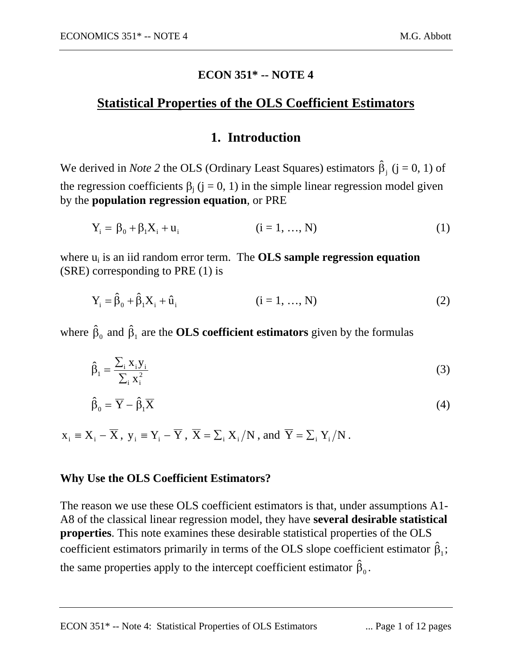#### **ECON 351\* -- NOTE 4**

## **Statistical Properties of the OLS Coefficient Estimators**

## **1. Introduction**

We derived in *Note* 2 the OLS (Ordinary Least Squares) estimators  $\hat{\beta}_j$  (j = 0, 1) of the regression coefficients  $\beta_j$  (j = 0, 1) in the simple linear regression model given by the **population regression equation**, or PRE

$$
Y_i = \beta_0 + \beta_1 X_i + u_i \qquad (i = 1, ..., N)
$$
 (1)

where  $u_i$  is an iid random error term. The **OLS sample regression equation** (SRE) corresponding to PRE (1) is

$$
Y_{i} = \hat{\beta}_{0} + \hat{\beta}_{1}X_{i} + \hat{u}_{i}
$$
 (i = 1, ..., N) (2)

where  $\hat{\beta}_0$  and  $\hat{\beta}_1$  are the **OLS coefficient estimators** given by the formulas

$$
\hat{\beta}_1 = \frac{\sum_i x_i y_i}{\sum_i x_i^2} \tag{3}
$$

$$
\hat{\beta}_0 = \overline{Y} - \hat{\beta}_1 \overline{X} \tag{4}
$$

$$
x_i \equiv X_i - \overline{X}
$$
,  $y_i \equiv Y_i - \overline{Y}$ ,  $\overline{X} = \sum_i X_i / N$ , and  $\overline{Y} = \sum_i Y_i / N$ .

#### **Why Use the OLS Coefficient Estimators?**

The reason we use these OLS coefficient estimators is that, under assumptions A1- A8 of the classical linear regression model, they have **several desirable statistical properties**. This note examines these desirable statistical properties of the OLS coefficient estimators primarily in terms of the OLS slope coefficient estimator  $\hat{\beta}_1$ ; the same properties apply to the intercept coefficient estimator  $\hat{\beta}_0$ .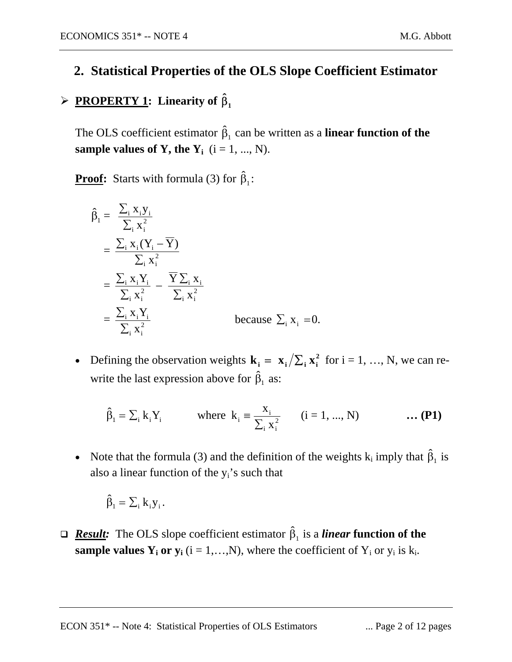## **2. Statistical Properties of the OLS Slope Coefficient Estimator**

# **►** PROPERTY 1: Linearity of  $\hat{\beta}_1$

The OLS coefficient estimator  $\hat{\beta}_1$  can be written as a **linear function of the sample values of Y, the**  $Y_i$  ( $i = 1, ..., N$ ).

**Proof:** Starts with formula (3) for  $\hat{\beta}_1$ :

$$
\hat{\beta}_1 = \frac{\sum_i x_i y_i}{\sum_i x_i^2}
$$
\n
$$
= \frac{\sum_i x_i (Y_i - \overline{Y})}{\sum_i x_i^2}
$$
\n
$$
= \frac{\sum_i x_i Y_i}{\sum_i x_i^2} - \frac{\overline{Y} \sum_i x_i}{\sum_i x_i^2}
$$
\n
$$
= \frac{\sum_i x_i Y_i}{\sum_i x_i^2} \qquad \text{because } \sum_i x_i = 0.
$$

• Defining the observation weights  $\mathbf{k}_i = \mathbf{x}_i / \sum_i \mathbf{x}_i^2$  for  $i = 1, ..., N$ , we can rewrite the last expression above for  $\hat{\beta}_1$  as:

$$
\hat{\beta}_1 = \sum_i k_i Y_i
$$
 where  $k_i = \frac{X_i}{\sum_i X_i^2}$   $(i = 1, ..., N)$  ... (P1)

• Note that the formula (3) and the definition of the weights  $k_i$  imply that  $\hat{\beta}_1$  is also a linear function of the  $y_i$ 's such that

$$
\hat{\beta}_1 = \sum_i k_i y_i \, .
$$

**<u>***Result:* The OLS slope coefficient estimator  $\hat{\beta}_1$  is a *linear* function of the</u> **sample values**  $Y_i$  **or**  $y_i$  ( $i = 1,...,N$ ), where the coefficient of  $Y_i$  or  $y_i$  is  $k_i$ .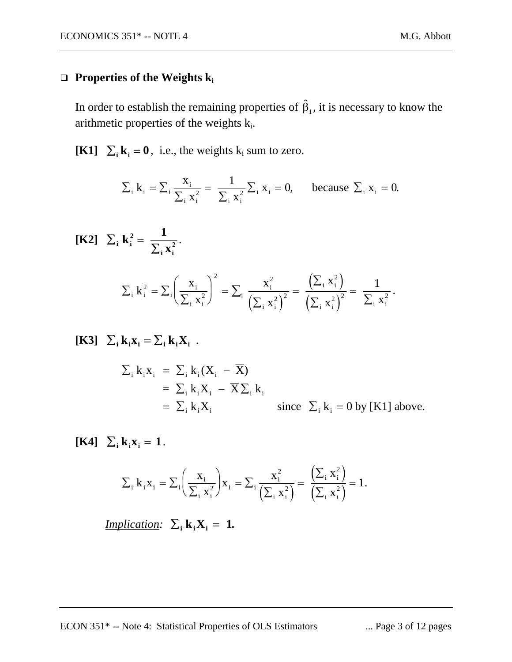### **Properties of the Weights**  $k_i$

In order to establish the remaining properties of  $\hat{\beta}_1$ , it is necessary to know the arithmetic properties of the weights  $k_i$ .

**[K1]**  $\Sigma_i$ **k**<sub>i</sub> = **0**, i.e., the weights k<sub>i</sub> sum to zero.

$$
\sum_{i} k_{i} = \sum_{i} \frac{x_{i}}{\sum_{i} x_{i}^{2}} = \frac{1}{\sum_{i} x_{i}^{2}} \sum_{i} x_{i} = 0
$$
, because  $\sum_{i} x_{i} = 0$ .

$$
\begin{aligned} \textbf{[K2]} \quad \Sigma_{i} \, \mathbf{k}_{i}^{2} &= \frac{1}{\sum_{i} x_{i}^{2}}. \\ \Sigma_{i} \, \mathbf{k}_{i}^{2} &= \Sigma_{i} \bigg( \frac{x_{i}}{\sum_{i} x_{i}^{2}} \bigg)^{2} = \sum_{i} \frac{x_{i}^{2}}{\big( \sum_{i} x_{i}^{2} \big)^{2}} = \frac{\big( \sum_{i} x_{i}^{2} \big)}{\big( \sum_{i} x_{i}^{2} \big)^{2}} = \frac{1}{\sum_{i} x_{i}^{2}}. \end{aligned}
$$

 $[K3]$   $\Sigma_i$  **k**<sub>i</sub>**x**<sub>i</sub> =  $\Sigma_i$  **k**<sub>i</sub>**X**<sub>i</sub> .

$$
\Sigma_{i} k_{i} x_{i} = \Sigma_{i} k_{i} (X_{i} - \overline{X})
$$
  
=  $\Sigma_{i} k_{i} X_{i} - \overline{X} \Sigma_{i} k_{i}$   
=  $\Sigma_{i} k_{i} X_{i}$  since  $\Sigma_{i} k_{i} = 0$  by [K1] above.

 $[K4]$   $\Sigma_i$   $k_i$ **x**<sub>i</sub> = 1.

$$
\sum_{i} k_{i} x_{i} = \sum_{i} \left( \frac{x_{i}}{\sum_{i} x_{i}^{2}} \right) x_{i} = \sum_{i} \frac{x_{i}^{2}}{\left(\sum_{i} x_{i}^{2}\right)} = \frac{\left(\sum_{i} x_{i}^{2}\right)}{\left(\sum_{i} x_{i}^{2}\right)} = 1.
$$

*<u>Implication</u>:*  $\sum_i k_i X_i = 1$ .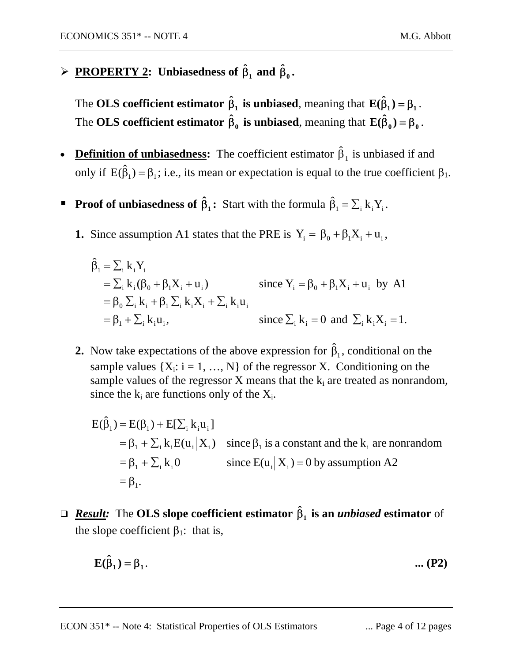$\triangleright$  **PROPERTY 2:** Unbiasedness of  $\hat{\beta}_1$  and  $\hat{\beta}_0$ .

The **OLS** coefficient estimator  $\hat{\beta}_1$  is unbiased, meaning that  $\mathbf{E}(\hat{\beta}_1) = \beta_1$ . The **OLS** coefficient estimator  $\hat{\beta}_0$  is unbiased, meaning that  $\mathbf{E}(\hat{\beta}_0) = \beta_0$ .

- **Definition of unbiasedness:** The coefficient estimator  $\hat{\beta}_1$  is unbiased if and only if  $E(\hat{\beta}_1) = \beta_1$ ; i.e., its mean or expectation is equal to the true coefficient  $\beta_1$ .
- **Proof of unbiasedness of**  $\hat{\beta}_1$ **:** Start with the formula  $\hat{\beta}_1 = \sum_i k_i Y_i$ .
	- **1.** Since assumption A1 states that the PRE is  $Y_i = \beta_0 + \beta_1 X_i + u_i$ ,

$$
\hat{\beta}_1 = \sum_i k_i Y_i
$$
  
\n
$$
= \sum_i k_i (\beta_0 + \beta_1 X_i + u_i)
$$
  
\n
$$
= \beta_0 \sum_i k_i + \beta_1 \sum_i k_i X_i + \sum_i k_i u_i
$$
  
\n
$$
= \beta_1 + \sum_i k_i u_i,
$$
  
\n
$$
= \sum_i k_i - \sum_i k_i u_i,
$$
  
\n
$$
= 0 \text{ and } \sum_i k_i X_i = 1.
$$

**2.** Now take expectations of the above expression for  $\hat{\beta}_1$ , conditional on the sample values  $\{X_i: i = 1, ..., N\}$  of the regressor X. Conditioning on the sample values of the regressor  $X$  means that the  $k_i$  are treated as nonrandom, since the  $k_i$  are functions only of the  $X_i$ .

$$
E(\hat{\beta}_1) = E(\beta_1) + E[\sum_i k_i u_i]
$$
  
=  $\beta_1 + \sum_i k_i E(u_i | X_i)$  since  $\beta_1$  is a constant and the  $k_i$  are nonrandom  
=  $\beta_1 + \sum_i k_i 0$  since  $E(u_i | X_i) = 0$  by assumption A2  
=  $\beta_1$ .

 *Result:*The **OLS slope coefficient estimator is an** *unbiased* **estimator** of **1 ˆ** β the slope coefficient  $\beta_1$ : that is,

$$
E(\hat{\beta}_1) = \beta_1.
$$
 (P2)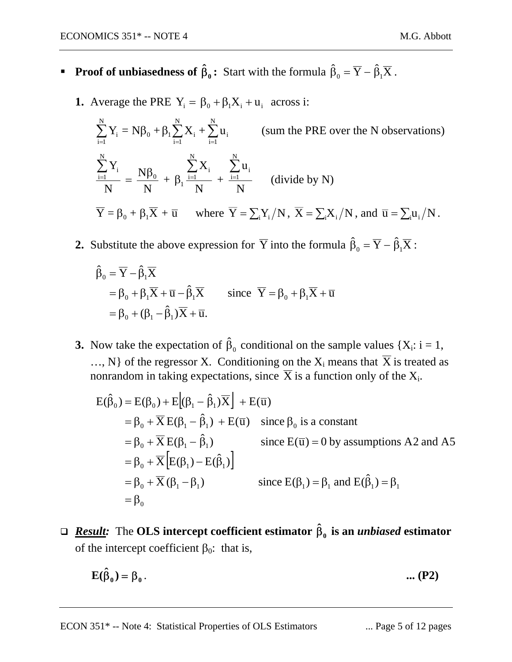- **Proof of unbiasedness of**  $\hat{\beta}_0$ **: Start with the formula**  $\hat{\beta}_0 = \overline{Y} \hat{\beta}_1 \overline{X}$ **.** 
	- **1.** Average the PRE  $Y_i = \beta_0 + \beta_1 X_i + u_i$  across i:

$$
\sum_{i=1}^{N} Y_i = N\beta_0 + \beta_1 \sum_{i=1}^{N} X_i + \sum_{i=1}^{N} u_i \qquad \text{(sum the PRE over the N observations)}
$$
\n
$$
\frac{\sum_{i=1}^{N} Y_i}{N} = \frac{N\beta_0}{N} + \beta_1 \frac{\sum_{i=1}^{N} X_i}{N} + \frac{\sum_{i=1}^{N} u_i}{N} \qquad \text{(divide by N)}
$$
\n
$$
\overline{Y} = \beta_0 + \beta_1 \overline{X} + \overline{u} \qquad \text{where } \overline{Y} = \sum_{i} Y_i / N, \ \overline{X} = \sum_{i} X_i / N, \ \text{and } \overline{u} = \sum_{i} u_i / N.
$$

**2.** Substitute the above expression for  $\overline{Y}$  into the formula  $\hat{\beta}_0 = \overline{Y} - \hat{\beta}_1 \overline{X}$ :

$$
\hat{\beta}_0 = \overline{Y} - \hat{\beta}_1 \overline{X} \n= \beta_0 + \beta_1 \overline{X} + \overline{u} - \hat{\beta}_1 \overline{X} \qquad \text{since } \overline{Y} = \beta_0 + \beta_1 \overline{X} + \overline{u} \n= \beta_0 + (\beta_1 - \hat{\beta}_1) \overline{X} + \overline{u}.
$$

**3.** Now take the expectation of  $\hat{\beta}_0$  conditional on the sample values  $\{X_i: i = 1, \ldots\}$ ..., N} of the regressor X. Conditioning on the  $X_i$  means that  $\overline{X}$  is treated as nonrandom in taking expectations, since  $\overline{X}$  is a function only of the  $X_i$ .

$$
E(\hat{\beta}_0) = E(\beta_0) + E[(\beta_1 - \hat{\beta}_1)\overline{X}] + E(\overline{u})
$$
  
\n
$$
= \beta_0 + \overline{X}E(\beta_1 - \hat{\beta}_1) + E(\overline{u}) \text{ since } \beta_0 \text{ is a constant}
$$
  
\n
$$
= \beta_0 + \overline{X}E(\beta_1 - \hat{\beta}_1) \text{ since } E(\overline{u}) = 0 \text{ by assumptions A2 and A5}
$$
  
\n
$$
= \beta_0 + \overline{X} [E(\beta_1) - E(\hat{\beta}_1)]
$$
  
\n
$$
= \beta_0 + \overline{X} (\beta_1 - \beta_1) \text{ since } E(\beta_1) = \beta_1 \text{ and } E(\hat{\beta}_1) = \beta_1
$$
  
\n
$$
= \beta_0
$$

**□** <u>*Result</u>: The OLS intercept coefficient estimator*  $\hat{\beta}_0$  *is an <i>unbiased* estimator</u> of the intercept coefficient  $\beta_0$ : that is,

$$
\mathbf{E}(\hat{\beta}_0) = \beta_0 \,. \tag{P2}
$$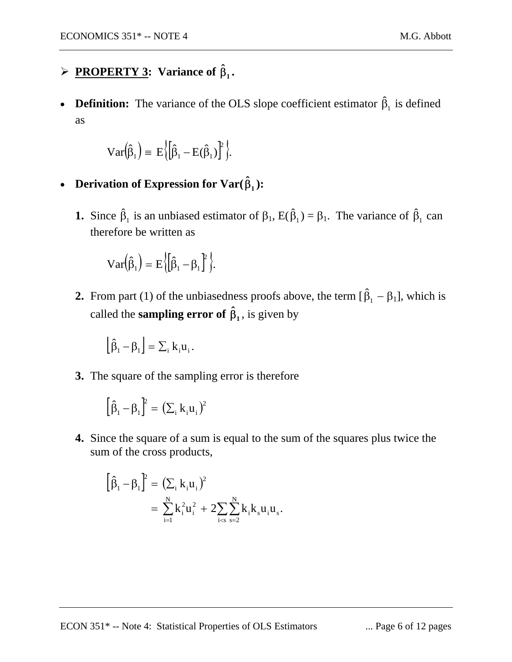# $\triangleright$  **PROPERTY 3:** Variance of  $\hat{\beta}_1$ .

• **Definition:** The variance of the OLS slope coefficient estimator  $\hat{\beta}_1$  is defined as

$$
\operatorname{Var}(\hat{\beta}_1) = E\left\{ \left[ \hat{\beta}_1 - E(\hat{\beta}_1) \right]^2 \right\}.
$$

- Derivation of Expression for  $\text{Var}(\hat{\beta}_1)$ :
	- **1.** Since  $\hat{\beta}_1$  is an unbiased estimator of  $\beta_1$ ,  $E(\hat{\beta}_1) = \beta_1$ . The variance of  $\hat{\beta}_1$  can therefore be written as

$$
\mathbf{Var}(\hat{\beta}_1) = E\Big\{ \Big[ \hat{\beta}_1 - \beta_1 \Big]^2 \Big\}.
$$

**2.** From part (1) of the unbiasedness proofs above, the term  $[\hat{\beta}_1 - \beta_1]$ , which is called the **sampling error of**  $\hat{\beta}_1$ , is given by

$$
\left[\hat{\beta}_1 - \beta_1\right] = \sum_i k_i u_i.
$$

**3.** The square of the sampling error is therefore

$$
\left[\hat{\beta}_\text{\tiny{l}}-\beta_\text{\tiny{l}}\right]^{\hspace{-3pt}2}=\big(\Sigma_\text{\tiny{i}}\,k_\text{\tiny{i}}u_\text{\tiny{i}}\big)^{\hspace{-3pt}2}
$$

**4.** Since the square of a sum is equal to the sum of the squares plus twice the sum of the cross products,

$$
\left[\hat{\beta}_1 - \beta_1\right]^2 = \left(\sum_i k_i u_i\right)^2
$$
  
= 
$$
\sum_{i=1}^N k_i^2 u_i^2 + 2 \sum_{i < s} \sum_{s=2}^N k_i k_s u_i u_s.
$$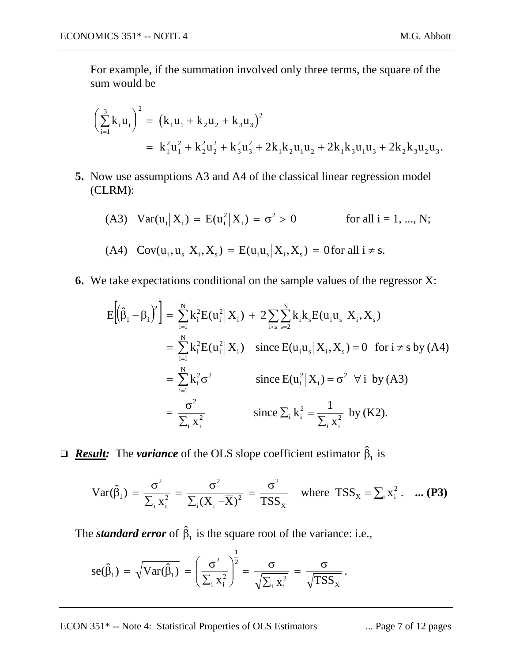For example, if the summation involved only three terms, the square of the sum would be

$$
\left(\sum_{i=1}^{3} k_{i} u_{i}\right)^{2} = (k_{1} u_{1} + k_{2} u_{2} + k_{3} u_{3})^{2}
$$
  
=  $k_{1}^{2} u_{1}^{2} + k_{2}^{2} u_{2}^{2} + k_{3}^{2} u_{3}^{2} + 2k_{1} k_{2} u_{1} u_{2} + 2k_{1} k_{3} u_{1} u_{3} + 2k_{2} k_{3} u_{2} u_{3}.$ 

**5.** Now use assumptions A3 and A4 of the classical linear regression model (CLRM):

(A3) 
$$
Var(u_i|X_i) = E(u_i^2|X_i) = \sigma^2 > 0
$$
 for all  $i = 1, ..., N$ ;  
(A4)  $Cov(u_i, u_s|X_i, X_s) = E(u_iu_s|X_i, X_s) = 0$  for all  $i \neq s$ .

**6.** We take expectations conditional on the sample values of the regressor X:

$$
E[(\hat{\beta}_{1} - \beta_{1})^{2}] = \sum_{i=1}^{N} k_{i}^{2} E(u_{i}^{2} | X_{i}) + 2 \sum_{i < s} \sum_{s=2}^{N} k_{i} k_{s} E(u_{i} u_{s} | X_{i}, X_{s})
$$
  
\n
$$
= \sum_{i=1}^{N} k_{i}^{2} E(u_{i}^{2} | X_{i}) \text{ since } E(u_{i} u_{s} | X_{i}, X_{s}) = 0 \text{ for } i \neq s \text{ by (A4)}
$$
  
\n
$$
= \sum_{i=1}^{N} k_{i}^{2} \sigma^{2} \text{ since } E(u_{i}^{2} | X_{i}) = \sigma^{2} \forall i \text{ by (A3)}
$$
  
\n
$$
= \frac{\sigma^{2}}{\sum_{i} x_{i}^{2}} \text{ since } \sum_{i} k_{i}^{2} = \frac{1}{\sum_{i} x_{i}^{2}} \text{ by (K2)}.
$$

*Result:* The *variance* of the OLS slope coefficient estimator  $\hat{\beta}_1$  is

$$
Var(\hat{\beta}_1) = \frac{\sigma^2}{\sum_i x_i^2} = \frac{\sigma^2}{\sum_i (X_i - \overline{X})^2} = \frac{\sigma^2}{TSS_x} \quad \text{where } TSS_x = \sum_i x_i^2. \quad \text{... (P3)}
$$

The *standard error* of  $\hat{\beta}_1$  is the square root of the variance: i.e.,

$$
se(\hat{\beta}_1) = \sqrt{Var(\hat{\beta}_1)} = \left(\frac{\sigma^2}{\sum_i x_i^2}\right)^{\frac{1}{2}} = \frac{\sigma}{\sqrt{\sum_i x_i^2}} = \frac{\sigma}{\sqrt{TSS_x}}.
$$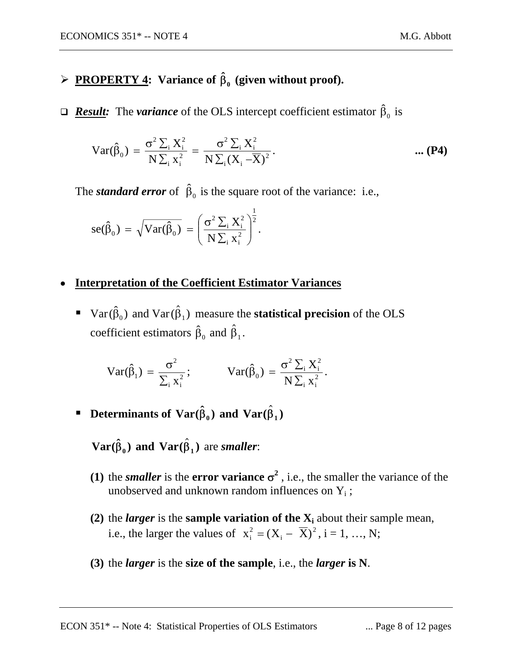# $\triangleright$  **PROPERTY 4:** Variance of  $\hat{\beta}_0$  (given without proof).

*Result:* The *variance* of the OLS intercept coefficient estimator  $\hat{\beta}_0$  is

$$
Var(\hat{\beta}_0) = \frac{\sigma^2 \sum_{i} X_i^2}{N \sum_{i} x_i^2} = \frac{\sigma^2 \sum_{i} X_i^2}{N \sum_{i} (X_i - \overline{X})^2}.
$$
 ... (P4)

The *standard error* of  $\hat{\beta}_0$  is the square root of the variance: i.e.,

$$
se(\hat{\beta}_0) = \sqrt{Var(\hat{\beta}_0)} = \left(\frac{\sigma^2 \sum_i X_i^2}{N \sum_i x_i^2}\right)^{\frac{1}{2}}.
$$

### • **Interpretation of the Coefficient Estimator Variances**

**Var**  $(\hat{\beta}_0)$  and  $\text{Var}(\hat{\beta}_1)$  measure the **statistical precision** of the OLS coefficient estimators  $\hat{\beta}_0$  and  $\hat{\beta}_1$ .

$$
Var(\hat{\beta}_1) = \frac{\sigma^2}{\sum_i x_i^2}; \qquad Var(\hat{\beta}_0) = \frac{\sigma^2 \sum_i X_i^2}{N \sum_i x_i^2}.
$$

**P** Determinants of  $\text{Var}(\hat{\beta}_0)$  and  $\text{Var}(\hat{\beta}_1)$ 

 $\mathbf{Var}(\hat{\beta}_0)$  and  $\mathbf{Var}(\hat{\beta}_1)$  are *smaller*:

- **(1)** the *smaller* is the **error variance**  $\sigma^2$ , i.e., the smaller the variance of the unobserved and unknown random influences on  $Y_i$ ;
- (2) the *larger* is the **sample variation of the**  $X_i$  about their sample mean, i.e., the larger the values of  $x_i^2 = (X_i - \overline{X})^2$ , i = 1, ..., N;
- **(3)** the *larger* is the **size of the sample**, i.e., the *larger* **is N**.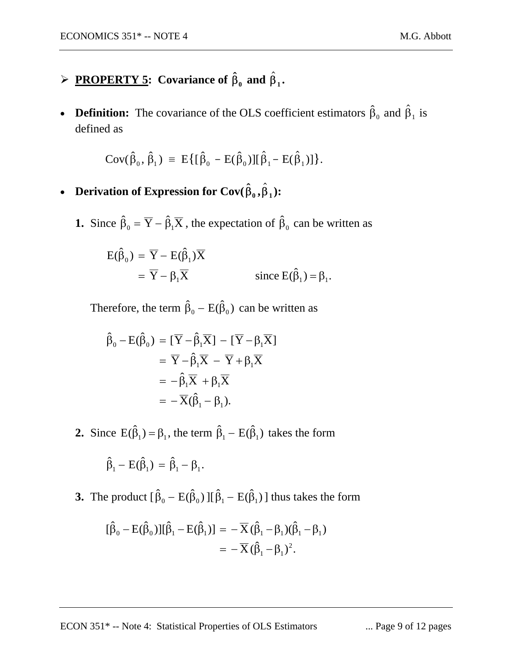# $\triangleright$  **PROPERTY 5:** Covariance of  $\hat{\beta}_0$  and  $\hat{\beta}_1$ .

• **Definition:** The covariance of the OLS coefficient estimators  $\hat{\beta}_0$  and  $\hat{\beta}_1$  is defined as

$$
Cov(\hat{\beta}_0, \hat{\beta}_1) \equiv E\{[\hat{\beta}_0 - E(\hat{\beta}_0)][\hat{\beta}_1 - E(\hat{\beta}_1)]\}.
$$

- **Derivation of Expression for Cov** $(\hat{\beta}_0, \hat{\beta}_1)$ :
	- **1.** Since  $\hat{\beta}_0 = \overline{Y} \hat{\beta}_1 \overline{X}$ , the expectation of  $\hat{\beta}_0$  can be written as

$$
E(\hat{\beta}_0) = \overline{Y} - E(\hat{\beta}_1)\overline{X}
$$
  
=  $\overline{Y} - \beta_1\overline{X}$  since  $E(\hat{\beta}_1) = \beta_1$ .

Therefore, the term  $\hat{\beta}_0 - E(\hat{\beta}_0)$  can be written as

$$
\hat{\beta}_0 - \mathbf{E}(\hat{\beta}_0) = [\overline{Y} - \hat{\beta}_1 \overline{X}] - [\overline{Y} - \beta_1 \overline{X}]
$$
  
\n
$$
= \overline{Y} - \hat{\beta}_1 \overline{X} - \overline{Y} + \beta_1 \overline{X}
$$
  
\n
$$
= -\hat{\beta}_1 \overline{X} + \beta_1 \overline{X}
$$
  
\n
$$
= -\overline{X}(\hat{\beta}_1 - \beta_1).
$$

**2.** Since  $E(\hat{\beta}_1) = \beta_1$ , the term  $\hat{\beta}_1 - E(\hat{\beta}_1)$  takes the form

$$
\hat{\beta}_1 - E(\hat{\beta}_1) = \hat{\beta}_1 - \beta_1.
$$

**3.** The product  $[\hat{\beta}_0 - \mathbf{E}(\hat{\beta}_0)] [\hat{\beta}_1 - \mathbf{E}(\hat{\beta}_1)]$  thus takes the form

$$
[\hat{\beta}_0 - E(\hat{\beta}_0)][\hat{\beta}_1 - E(\hat{\beta}_1)] = -\overline{X}(\hat{\beta}_1 - \beta_1)(\hat{\beta}_1 - \beta_1)
$$
  
= 
$$
-\overline{X}(\hat{\beta}_1 - \beta_1)^2.
$$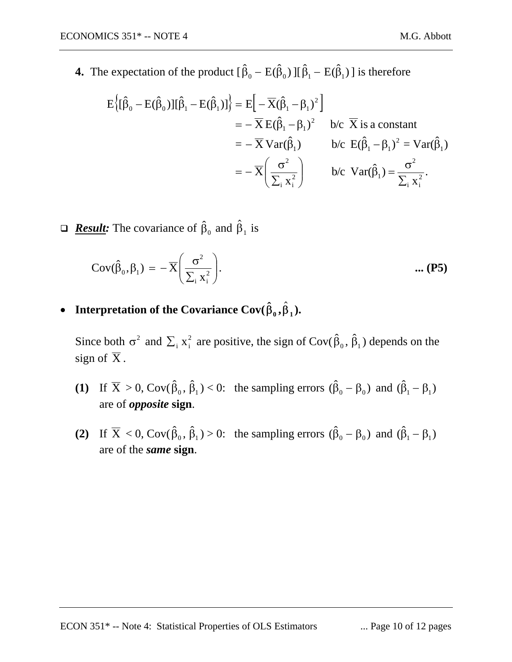$$
E\left\{[\hat{\beta}_0 - E(\hat{\beta}_0)][\hat{\beta}_1 - E(\hat{\beta}_1)]\right\} = E\left[-\overline{X}(\hat{\beta}_1 - \beta_1)^2\right]
$$
  
\n
$$
= -\overline{X}E(\hat{\beta}_1 - \beta_1)^2 \quad \text{b/c } \overline{X} \text{ is a constant}
$$
  
\n
$$
= -\overline{X}Var(\hat{\beta}_1) \quad \text{b/c } E(\hat{\beta}_1 - \beta_1)^2 = Var(\hat{\beta}_1)
$$
  
\n
$$
= -\overline{X}\left(\frac{\sigma^2}{\sum_i x_i^2}\right) \quad \text{b/c } Var(\hat{\beta}_1) = \frac{\sigma^2}{\sum_i x_i^2}.
$$

 $\Box$  **Result:** The covariance of  $\hat{\beta}_0$  and  $\hat{\beta}_1$  is

$$
Cov(\hat{\beta}_0, \beta_1) = -\overline{X} \left( \frac{\sigma^2}{\sum_i x_i^2} \right).
$$
 ... (P5)

• **Interpretation of the Covariance Cov** $(\hat{\beta}_0, \hat{\beta}_1)$ .

Since both  $\sigma^2$  and  $\sum_i x_i^2$  are positive, the sign of Cov( $\hat{\beta}_0$ ,  $\hat{\beta}_1$ ) depends on the sign of  $\overline{X}$ .

- (1) If  $\overline{X} > 0$ , Cov( $\hat{\beta}_0$ ,  $\hat{\beta}_1$ ) < 0: the sampling errors  $(\hat{\beta}_0 \beta_0)$  and  $(\hat{\beta}_1 \beta_1)$ are of *opposite* **sign**.
- **(2)** If  $\overline{X} < 0$ , Cov( $\hat{\beta}_0$ ,  $\hat{\beta}_1$ ) > 0: the sampling errors  $(\hat{\beta}_0 \beta_0)$  and  $(\hat{\beta}_1 \beta_1)$ are of the *same* **sign**.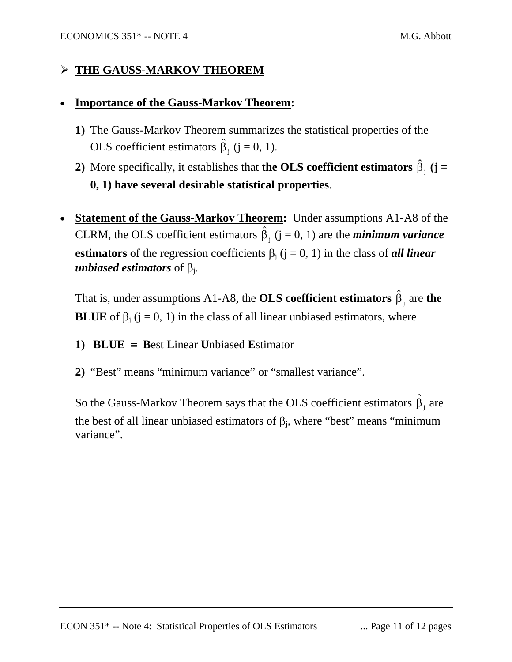### ¾ **THE GAUSS-MARKOV THEOREM**

#### • **Importance of the Gauss-Markov Theorem:**

- **1)** The Gauss-Markov Theorem summarizes the statistical properties of the OLS coefficient estimators  $\hat{\beta}_j$  (j = 0, 1).
- **2**) More specifically, it establishes that **the OLS coefficient estimators**  $\hat{\beta}_j$  (**j** = **0, 1) have several desirable statistical properties**.
- **Statement of the Gauss-Markov Theorem:** Under assumptions A1-A8 of the CLRM, the OLS coefficient estimators  $\hat{\beta}_i$  ( $j = 0, 1$ ) are the *minimum variance* **estimators** of the regression coefficients  $\beta_j$  ( $j = 0, 1$ ) in the class of *all linear unbiased estimators* of  $\beta_i$ .

That is, under assumptions A1-A8, the **OLS coefficient estimators**  $\hat{\beta}_j$  are **the BLUE** of  $\beta_j$  (j = 0, 1) in the class of all linear unbiased estimators, where

- **1) BLUE** ≡ **B**est **L**inear **U**nbiased **E**stimator
- **2)** "Best" means "minimum variance" or "smallest variance".

So the Gauss-Markov Theorem says that the OLS coefficient estimators  $\hat{\beta}_j$  are the best of all linear unbiased estimators of  $\beta_j$ , where "best" means "minimum variance".